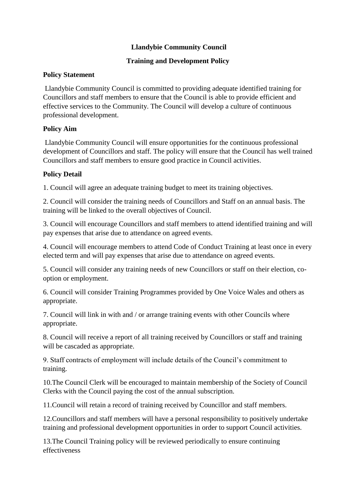## **Llandybie Community Council**

## **Training and Development Policy**

#### **Policy Statement**

Llandybie Community Council is committed to providing adequate identified training for Councillors and staff members to ensure that the Council is able to provide efficient and effective services to the Community. The Council will develop a culture of continuous professional development.

## **Policy Aim**

Llandybie Community Council will ensure opportunities for the continuous professional development of Councillors and staff. The policy will ensure that the Council has well trained Councillors and staff members to ensure good practice in Council activities.

# **Policy Detail**

1. Council will agree an adequate training budget to meet its training objectives.

2. Council will consider the training needs of Councillors and Staff on an annual basis. The training will be linked to the overall objectives of Council.

3. Council will encourage Councillors and staff members to attend identified training and will pay expenses that arise due to attendance on agreed events.

4. Council will encourage members to attend Code of Conduct Training at least once in every elected term and will pay expenses that arise due to attendance on agreed events.

5. Council will consider any training needs of new Councillors or staff on their election, cooption or employment.

6. Council will consider Training Programmes provided by One Voice Wales and others as appropriate.

7. Council will link in with and / or arrange training events with other Councils where appropriate.

8. Council will receive a report of all training received by Councillors or staff and training will be cascaded as appropriate.

9. Staff contracts of employment will include details of the Council's commitment to training.

10.The Council Clerk will be encouraged to maintain membership of the Society of Council Clerks with the Council paying the cost of the annual subscription.

11.Council will retain a record of training received by Councillor and staff members.

12.Councillors and staff members will have a personal responsibility to positively undertake training and professional development opportunities in order to support Council activities.

13.The Council Training policy will be reviewed periodically to ensure continuing effectiveness